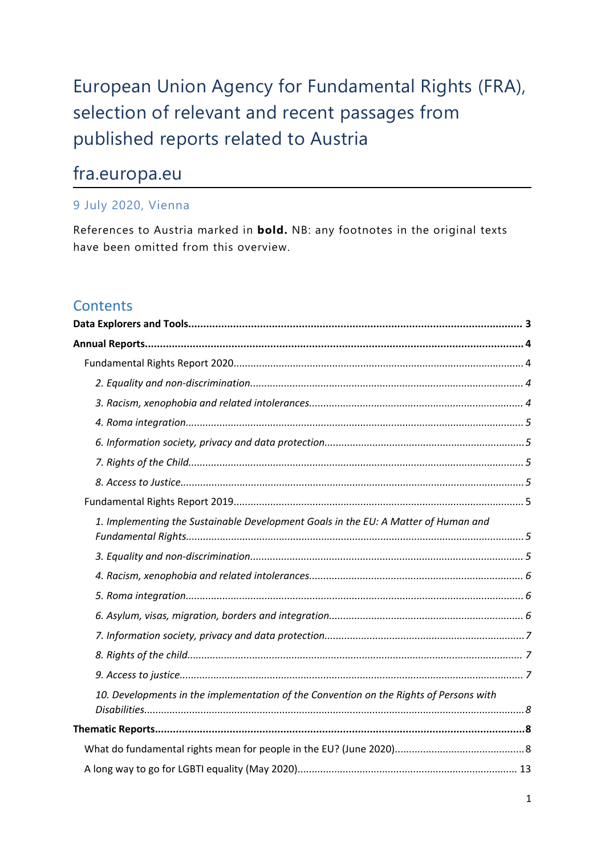# European Union Agency for Fundamental Rights (FRA), selection of relevant and recent passages from published reports related to Austria

# fra.europa.eu

## 9 July 2020, Vienna

References to Austria marked in **bold.** NB: any footnotes in the original texts have been omitted from this overview.

# **Contents**

| 1. Implementing the Sustainable Development Goals in the EU: A Matter of Human and     |
|----------------------------------------------------------------------------------------|
|                                                                                        |
|                                                                                        |
|                                                                                        |
|                                                                                        |
|                                                                                        |
|                                                                                        |
|                                                                                        |
| 10. Developments in the implementation of the Convention on the Rights of Persons with |
|                                                                                        |
|                                                                                        |
|                                                                                        |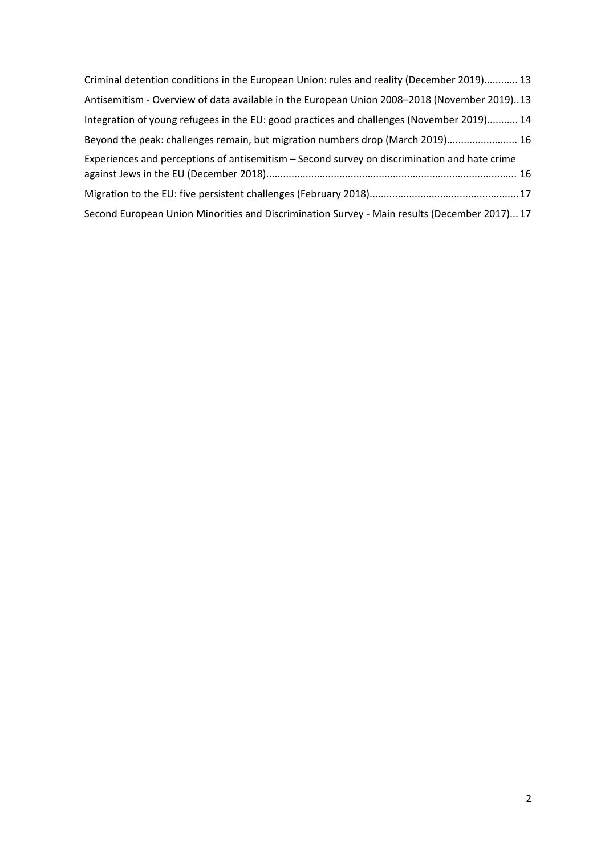| Criminal detention conditions in the European Union: rules and reality (December 2019) 13    |
|----------------------------------------------------------------------------------------------|
| Antisemitism - Overview of data available in the European Union 2008-2018 (November 2019)13  |
| Integration of young refugees in the EU: good practices and challenges (November 2019) 14    |
| Beyond the peak: challenges remain, but migration numbers drop (March 2019) 16               |
| Experiences and perceptions of antisemitism - Second survey on discrimination and hate crime |
|                                                                                              |
| Second European Union Minorities and Discrimination Survey - Main results (December 2017) 17 |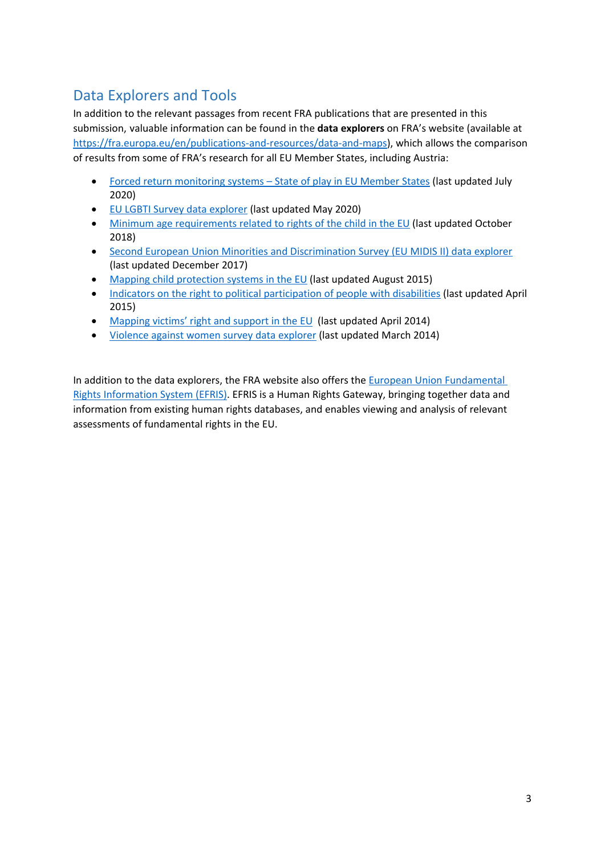# <span id="page-2-0"></span>Data Explorers and Tools

In addition to the relevant passages from recent FRA publications that are presented in this submission, valuable information can be found in the **data explorers** on FRA'<sup>s</sup> website (available at <https://fra.europa.eu/en/publications-and-resources/data-and-maps>), which allows the comparison of results from some of FRA'<sup>s</sup> research for all EU Member States, including Austria:

- $\bullet$  Forced return [monitoring](https://fra.europa.eu/en/publications-and-resources/data-and-maps/return) systems – State of play in EU Member States (last updated July 2020)
- **EU LGBTI Survey data [explorer](https://fra.europa.eu/en/data-and-maps/2020/lgbti-survey-data-explorer) (last updated May 2020)**
- $\bullet$  Minimum age [requirements](https://fra.europa.eu/en/publications-and-resources/data-and-maps/minag) related to rights of the child in the EU (last updated October 2018)
- $\bullet$  Second European Union Minorities and [Discrimination](https://fra.europa.eu/en/publications-and-resources/data-and-maps/survey-data-explorer-second-eu-minorities-discrimination-survey) Survey (EU MIDIS II) data explorer (last updated December 2017)
- e Mapping child [protection](http://fra.europa.eu/en/publications-and-resources/data-and-maps/comparative-data/child-protection) systems in the EU (last updated August 2015)
- $\bullet$  Indicators on the right to political [participation](http://fra.europa.eu/en/publications-and-resources/data-and-maps/comparative-data/political-participation) of people with disabilities (last updated April 2015)
- $\bullet$ [Mapping](http://fra.europa.eu/en/publications-and-resources/data-and-maps/comparative-data/victims-support-services) victims' right and support in the EU (last updated April 2014)
- $\bullet$ Violence against women survey data [explorer](http://fra.europa.eu/en/publications-and-resources/data-and-maps/survey-data-explorer-violence-against-women-survey) (last updated March 2014)

In addition to the data explorers, the FRA website also offers the European Union [Fundamental](https://fra.europa.eu/en/databases/efris/) Rights [Information](https://fra.europa.eu/en/databases/efris/) System (EFRIS). EFRIS is <sup>a</sup> Human Rights Gateway, bringing together data and information from existing human rights databases, and enables viewing and analysis of relevant assessments of fundamental rights in the EU.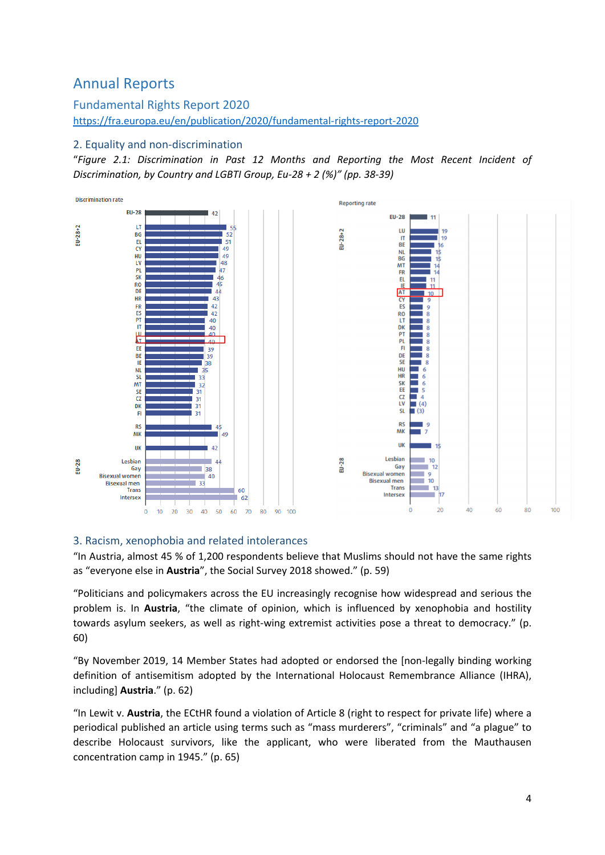# <span id="page-3-0"></span>Annual Reports

Fundamental Rights Report 2020 <https://fra.europa.eu/en/publication/2020/fundamental-rights-report-2020>

#### 2. Equality and non-discrimination

"*Figure 2.1: Discrimination in Past 12 Months and Reporting the Most Recent Incident of Discrimination, by Country and LGBTI Group, Eu-28 <sup>+</sup> 2 (%)" (pp. 38-39)*



#### 3. Racism, xenophobia and related intolerances

"In Austria, almost 45 % of 1,200 respondents believe that Muslims should not have the same rights as "everyone else in **Austria**", the Social Survey 2018 showed." (p. 59)

"Politicians and policymakers across the EU increasingly recognise how widespread and serious the problem is. In **Austria**, "the climate of opinion, which is influenced by xenophobia and hostility towards asylum seekers, as well as right-wing extremist activities pose <sup>a</sup> threat to democracy." (p. 60)

"By November 2019, 14 Member States had adopted or endorsed the [non-legally binding working definition of antisemitism adopted by the International Holocaust Remembrance Alliance (IHRA), including] **Austria**." (p. 62)

"In Lewit v. **Austria**, the ECtHR found <sup>a</sup> violation of Article 8 (right to respect for private life) where <sup>a</sup> periodical published an article using terms such as "mass murderers", "criminals" and "<sup>a</sup> plague" to describe Holocaust survivors, like the applicant, who were liberated from the Mauthausen concentration camp in 1945." (p. 65)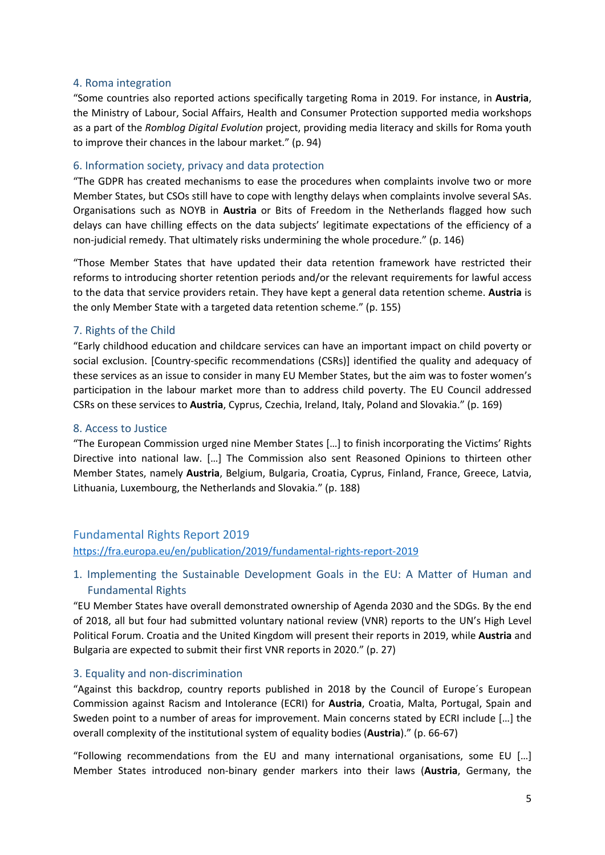#### <span id="page-4-0"></span>4. Roma integration

"Some countries also reported actions specifically targeting Roma in 2019. For instance, in **Austria**, the Ministry of Labour, Social Affairs, Health and Consumer Protection supported media workshops as <sup>a</sup> part of the *Romblog Digital Evolution* project, providing media literacy and skills for Roma youth to improve their chances in the labour market." (p. 94)

#### 6. Information society, privacy and data protection

"The GDPR has created mechanisms to ease the procedures when complaints involve two or more Member States, but CSOs still have to cope with lengthy delays when complaints involve several SAs. Organisations such as NOYB in **Austria** or Bits of Freedom in the Netherlands flagged how such delays can have chilling effects on the data subjects' legitimate expectations of the efficiency of <sup>a</sup> non-judicial remedy. That ultimately risks undermining the whole procedure." (p. 146)

"Those Member States that have updated their data retention framework have restricted their reforms to introducing shorter retention periods and/or the relevant requirements for lawful access to the data that service providers retain. They have kept <sup>a</sup> general data retention scheme. **Austria** is the only Member State with <sup>a</sup> targeted data retention scheme." (p. 155)

#### 7. Rights of the Child

"Early childhood education and childcare services can have an important impact on child poverty or social exclusion. [Country-specific recommendations (CSRs)] identified the quality and adequacy of these services as an issue to consider in many EU Member States, but the aim was to foster women'<sup>s</sup> participation in the labour market more than to address child poverty. The EU Council addressed CSRs on these services to **Austria**, Cyprus, Czechia, Ireland, Italy, Poland and Slovakia." (p. 169)

#### 8. Access to Justice

"The European Commission urged nine Member States […] to finish incorporating the Victims' Rights Directive into national law. […] The Commission also sent Reasoned Opinions to thirteen other Member States, namely **Austria**, Belgium, Bulgaria, Croatia, Cyprus, Finland, France, Greece, Latvia, Lithuania, Luxembourg, the Netherlands and Slovakia." (p. 188)

#### Fundamental Rights Report 2019

<https://fra.europa.eu/en/publication/2019/fundamental-rights-report-2019>

#### 1. Implementing the Sustainable Development Goals in the EU: A Matter of Human and Fundamental Rights

"EU Member States have overall demonstrated ownership of Agenda 2030 and the SDGs. By the end of 2018, all but four had submitted voluntary national review (VNR) reports to the UN'<sup>s</sup> High Level Political Forum. Croatia and the United Kingdom will present their reports in 2019, while **Austria** and Bulgaria are expected to submit their first VNR reports in 2020." (p. 27)

#### 3. Equality and non-discrimination

"Against this backdrop, country reports published in 2018 by the Council of Europe´s European Commission against Racism and Intolerance (ECRI) for **Austria**, Croatia, Malta, Portugal, Spain and Sweden point to <sup>a</sup> number of areas for improvement. Main concerns stated by ECRI include […] the overall complexity of the institutional system of equality bodies (**Austria**)." (p. 66-67)

"Following recommendations from the EU and many international organisations, some EU […] Member States introduced non-binary gender markers into their laws (**Austria**, Germany, the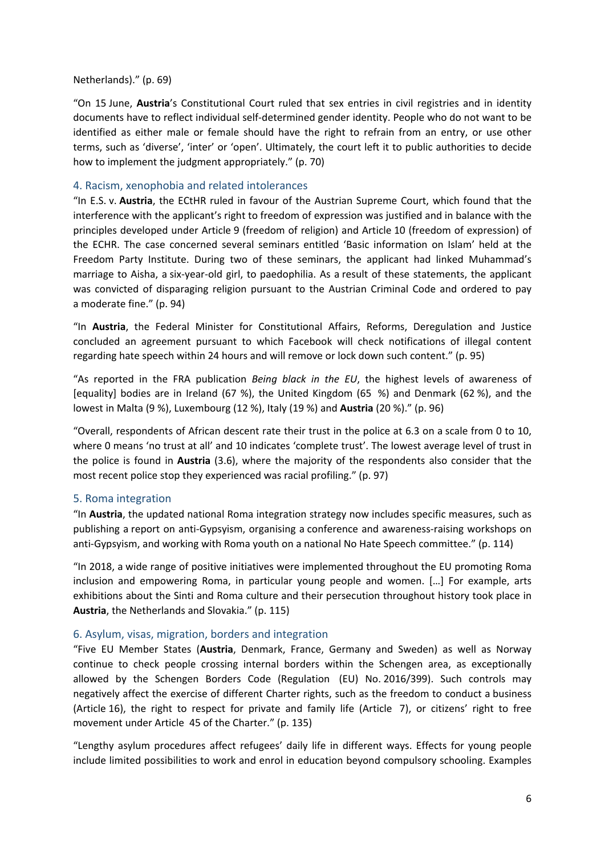#### <span id="page-5-0"></span>Netherlands)." (p. 69)

"On 15 June, **Austria**'<sup>s</sup> Constitutional Court ruled that sex entries in civil registries and in identity documents have to reflect individual self-determined gender identity. People who do not want to be identified as either male or female should have the right to refrain from an entry, or use other terms, such as 'diverse', 'inter' or 'open'. Ultimately, the court left it to public authorities to decide how to implement the judgment appropriately." (p. 70)

#### 4. Racism, xenophobia and related intolerances

"In E.S. v. **Austria**, the ECtHR ruled in favour of the Austrian Supreme Court, which found that the interference with the applicant'<sup>s</sup> right to freedom of expression was justified and in balance with the principles developed under Article 9 (freedom of religion) and Article 10 (freedom of expression) of the ECHR. The case concerned several seminars entitled 'Basic information on Islam' held at the Freedom Party Institute. During two of these seminars, the applicant had linked Muhammad'<sup>s</sup> marriage to Aisha, <sup>a</sup> six-year-old girl, to paedophilia. As <sup>a</sup> result of these statements, the applicant was convicted of disparaging religion pursuant to the Austrian Criminal Code and ordered to pay <sup>a</sup> moderate fine." (p. 94)

"In **Austria**, the Federal Minister for Constitutional Affairs, Reforms, Deregulation and Justice concluded an agreement pursuant to which Facebook will check notifications of illegal content regarding hate speech within 24 hours and will remove or lock down such content." (p. 95)

"As reported in the FRA publication *Being black in the EU*, the highest levels of awareness of [equality] bodies are in Ireland (67 %), the United Kingdom (65 %) and Denmark (62 %), and the lowest in Malta (9 %), Luxembourg (12 %), Italy (19 %) and **Austria** (20 %)." (p. 96)

"Overall, respondents of African descent rate their trust in the police at 6.3 on <sup>a</sup> scale from 0 to 10, where 0 means 'no trust at all' and 10 indicates 'complete trust'. The lowest average level of trust in the police is found in **Austria** (3.6), where the majority of the respondents also consider that the most recent police stop they experienced was racial profiling." (p. 97)

#### 5. Roma integration

"In **Austria**, the updated national Roma integration strategy now includes specific measures, such as publishing <sup>a</sup> report on anti-Gypsyism, organising <sup>a</sup> conference and awareness-raising workshops on anti-Gypsyism, and working with Roma youth on <sup>a</sup> national No Hate Speech committee." (p. 114)

"In 2018, <sup>a</sup> wide range of positive initiatives were implemented throughout the EU promoting Roma inclusion and empowering Roma, in particular young people and women. […] For example, arts exhibitions about the Sinti and Roma culture and their persecution throughout history took place in **Austria**, the Netherlands and Slovakia." (p. 115)

#### 6. Asylum, visas, migration, borders and integration

"Five EU Member States (**Austria**, Denmark, France, Germany and Sweden) as well as Norway continue to check people crossing internal borders within the Schengen area, as exceptionally allowed by the Schengen Borders Code (Regulation (EU) No. 2016/399). Such controls may negatively affect the exercise of different Charter rights, such as the freedom to conduct <sup>a</sup> business (Article 16), the right to respect for private and family life (Article 7), or citizens' right to free movement under Article 45 of the Charter." (p. 135)

"Lengthy asylum procedures affect refugees' daily life in different ways. Effects for young people include limited possibilities to work and enrol in education beyond compulsory schooling. Examples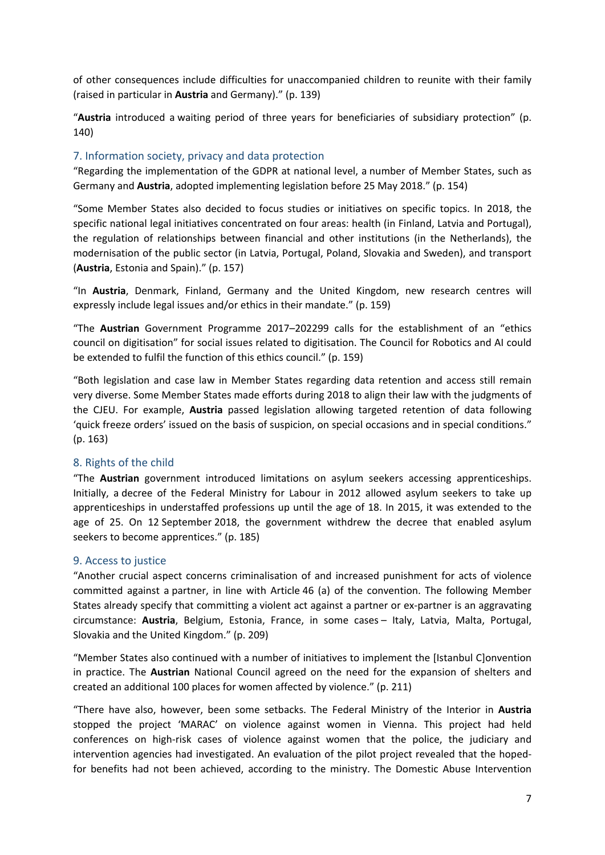<span id="page-6-0"></span>of other consequences include difficulties for unaccompanied children to reunite with their family (raised in particular in **Austria** and Germany)." (p. 139)

"**Austria** introduced <sup>a</sup> waiting period of three years for beneficiaries of subsidiary protection" (p. 140)

#### 7. Information society, privacy and data protection

"Regarding the implementation of the GDPR at national level, <sup>a</sup> number of Member States, such as Germany and **Austria**, adopted implementing legislation before 25 May 2018." (p. 154)

"Some Member States also decided to focus studies or initiatives on specific topics. In 2018, the specific national legal initiatives concentrated on four areas: health (in Finland, Latvia and Portugal), the regulation of relationships between financial and other institutions (in the Netherlands), the modernisation of the public sector (in Latvia, Portugal, Poland, Slovakia and Sweden), and transport (**Austria**, Estonia and Spain)." (p. 157)

"In **Austria**, Denmark, Finland, Germany and the United Kingdom, new research centres will expressly include legal issues and/or ethics in their mandate." (p. 159)

"The **Austrian** Government Programme 2017–202299 calls for the establishment of an "ethics council on digitisation" for social issues related to digitisation. The Council for Robotics and AI could be extended to fulfil the function of this ethics council." (p. 159)

"Both legislation and case law in Member States regarding data retention and access still remain very diverse. Some Member States made efforts during 2018 to align their law with the judgments of the CJEU. For example, **Austria** passed legislation allowing targeted retention of data following 'quick freeze orders' issued on the basis of suspicion, on special occasions and in special conditions." (p. 163)

#### 8. Rights of the child

"The **Austrian** government introduced limitations on asylum seekers accessing apprenticeships. Initially, <sup>a</sup> decree of the Federal Ministry for Labour in 2012 allowed asylum seekers to take up apprenticeships in understaffed professions up until the age of 18. In 2015, it was extended to the age of 25. On 12 September 2018, the government withdrew the decree that enabled asylum seekers to become apprentices." (p. 185)

#### 9. Access to justice

"Another crucial aspect concerns criminalisation of and increased punishment for acts of violence committed against <sup>a</sup> partner, in line with Article 46 (a) of the convention. The following Member States already specify that committing <sup>a</sup> violent act against <sup>a</sup> partner or ex-partner is an aggravating circumstance: **Austria**, Belgium, Estonia, France, in some cases – Italy, Latvia, Malta, Portugal, Slovakia and the United Kingdom." (p. 209)

"Member States also continued with <sup>a</sup> number of initiatives to implement the [Istanbul C]onvention in practice. The **Austrian** National Council agreed on the need for the expansion of shelters and created an additional 100 places for women affected by violence." (p. 211)

"There have also, however, been some setbacks. The Federal Ministry of the Interior in **Austria** stopped the project 'MARAC' on violence against women in Vienna. This project had held conferences on high-risk cases of violence against women that the police, the judiciary and intervention agencies had investigated. An evaluation of the pilot project revealed that the hopedfor benefits had not been achieved, according to the ministry. The Domestic Abuse Intervention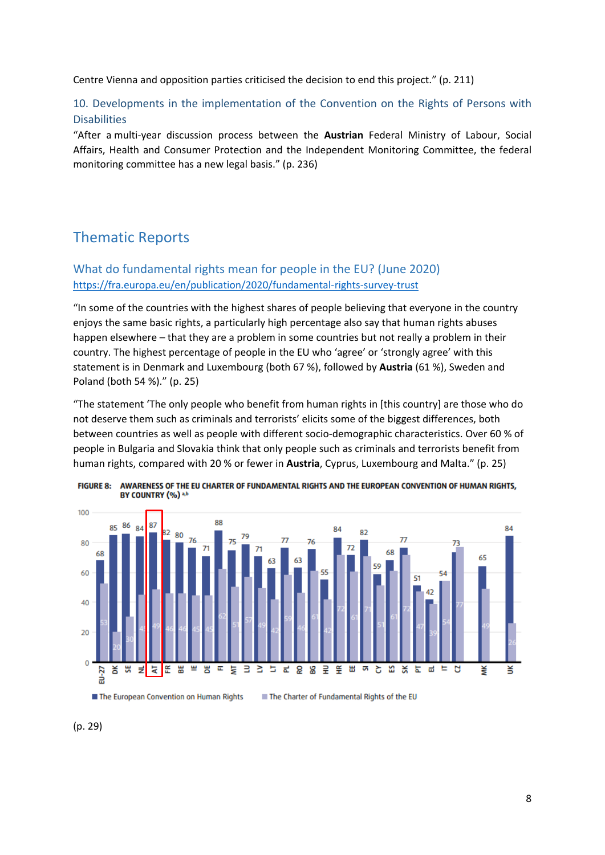<span id="page-7-0"></span>Centre Vienna and opposition parties criticised the decision to end this project." (p. 211)

10. Developments in the implementation of the Convention on the Rights of Persons with Disabilities

"After <sup>a</sup> multi-year discussion process between the **Austrian** Federal Ministry of Labour, Social Affairs, Health and Consumer Protection and the Independent Monitoring Committee, the federal monitoring committee has <sup>a</sup> new legal basis." (p. 236)

# Thematic Reports

### What do fundamental rights mean for people in the EU? (June 2020) <https://fra.europa.eu/en/publication/2020/fundamental-rights-survey-trust>

"In some of the countries with the highest shares of people believing that everyone in the country enjoys the same basic rights, <sup>a</sup> particularly high percentage also say that human rights abuses happen elsewhere – that they are <sup>a</sup> problem in some countries but not really <sup>a</sup> problem in their country. The highest percentage of people in the EU who 'agree' or 'strongly agree' with this statement is in Denmark and Luxembourg (both 67 %), followed by **Austria** (61 %), Sweden and Poland (both 54 %)." (p. 25)

"The statement 'The only people who benefit from human rights in [this country] are those who do not deserve them such as criminals and terrorists' elicits some of the biggest differences, both between countries as well as people with different socio-demographic characteristics. Over 60 % of people in Bulgaria and Slovakia think that only people such as criminals and terrorists benefit from human rights, compared with 20 % or fewer in **Austria**, Cyprus, Luxembourg and Malta." (p. 25)





### (p. 29)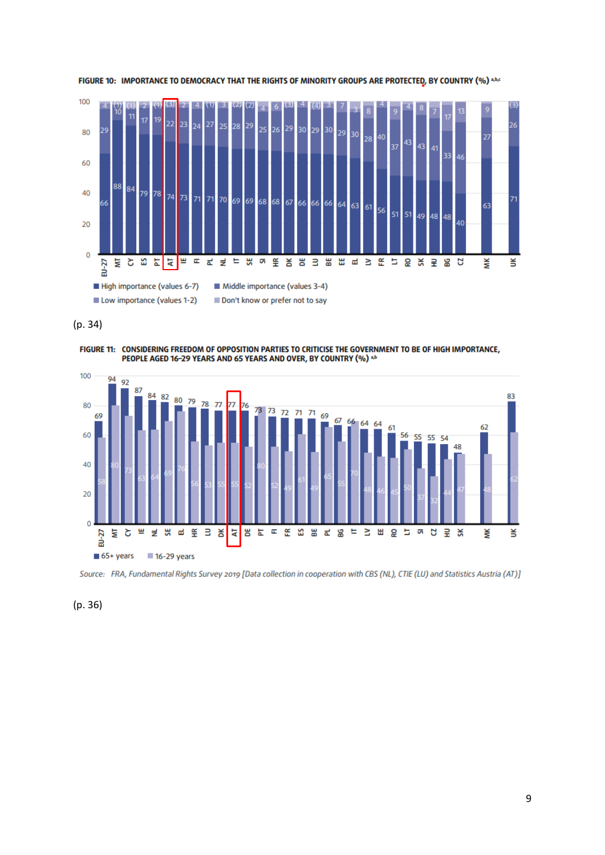

FIGURE 10: IMPORTANCE TO DEMOCRACY THAT THE RIGHTS OF MINORITY GROUPS ARE PROTECTED, BY COUNTRY (%) a,b,c

(p. 34)

FIGURE 11: CONSIDERING FREEDOM OF OPPOSITION PARTIES TO CRITICISE THE GOVERNMENT TO BE OF HIGH IMPORTANCE,<br>PEOPLE AGED 16-29 YEARS AND 65 YEARS AND OVER, BY COUNTRY (%) 3.5



Source: FRA, Fundamental Rights Survey 2019 [Data collection in cooperation with CBS (NL), CTIE (LU) and Statistics Austria (AT)]

(p. 36)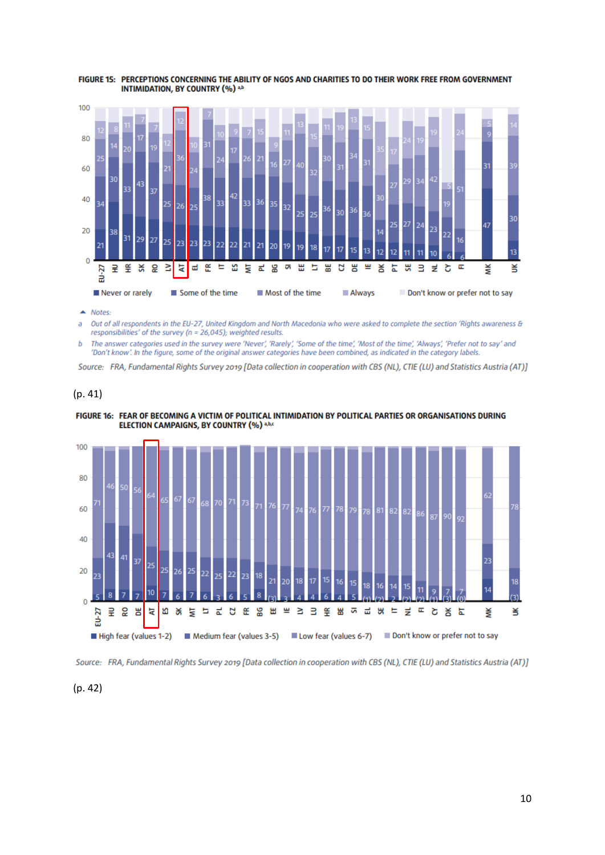

FIGURE 15: PERCEPTIONS CONCERNING THE ABILITY OF NGOS AND CHARITIES TO DO THEIR WORK FREE FROM GOVERNMENT INTIMIDATION, BY COUNTRY (%) ab

 $\triangle$  Notes:

Out of all respondents in the EU-27, United Kingdom and North Macedonia who were asked to complete the section 'Rights awareness & a responsibilities' of the survey (n = 26,045); weighted results.

The answer categories used in the survey were 'Never', 'Rarely', 'Some of the time', 'Most of the time', 'Always', 'Prefer not to say' and b 'Don't know'. In the figure, some of the original answer categories have been combined, as indicated in the category labels.

Source: FRA, Fundamental Rights Survey 2019 [Data collection in cooperation with CBS (NL), CTIE (LU) and Statistics Austria (AT)]

#### (p. 41)





Source: FRA, Fundamental Rights Survey 2019 [Data collection in cooperation with CBS (NL), CTIE (LU) and Statistics Austria (AT)]

(p. 42)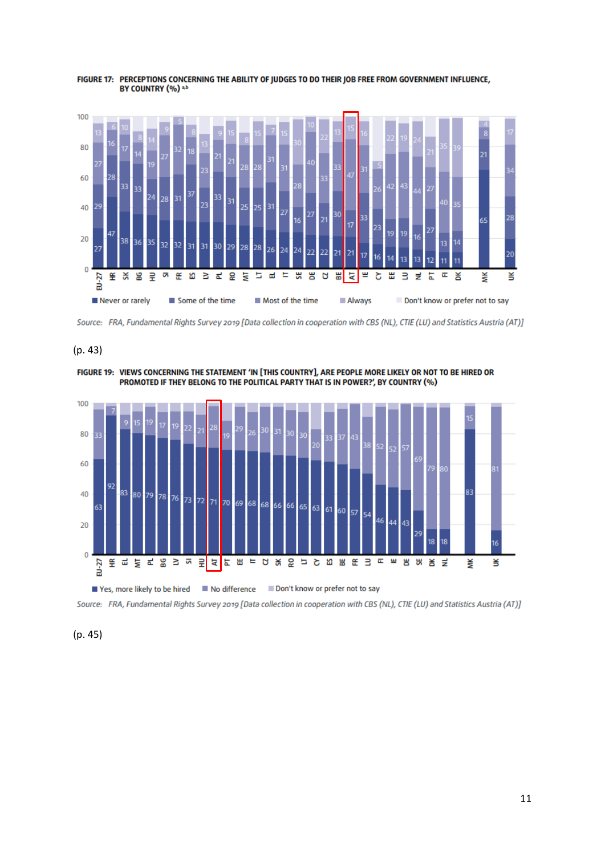

FIGURE 17: PERCEPTIONS CONCERNING THE ABILITY OF JUDGES TO DO THEIR JOB FREE FROM GOVERNMENT INFLUENCE, BY COUNTRY (%) a,b



#### (p. 43)







(p. 45)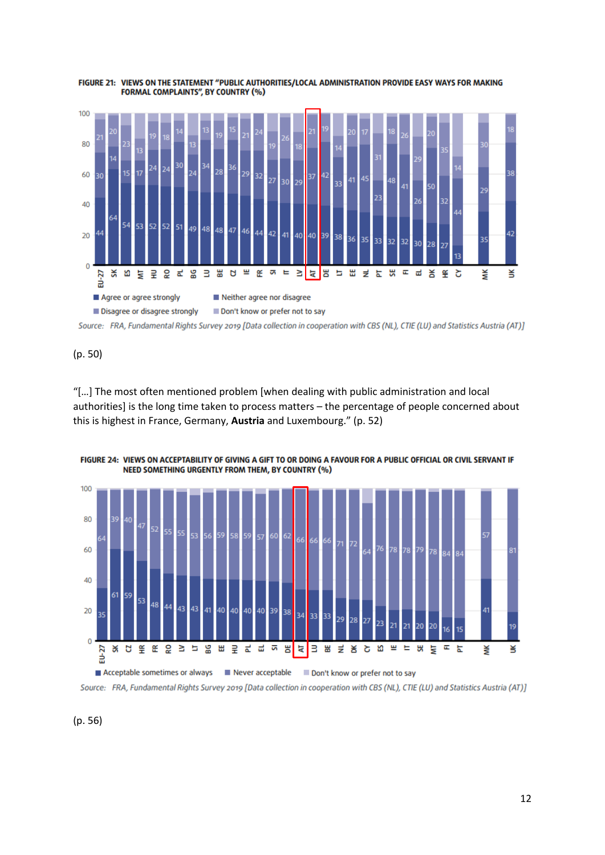

FIGURE 21: VIEWS ON THE STATEMENT "PUBLIC AUTHORITIES/LOCAL ADMINISTRATION PROVIDE EASY WAYS FOR MAKING **FORMAL COMPLAINTS", BY COUNTRY (%)** 

Source: FRA, Fundamental Rights Survey 2019 [Data collection in cooperation with CBS (NL), CTIE (LU) and Statistics Austria (AT)]

(p. 50)

"[…] The most often mentioned problem [when dealing with public administration and local authorities] is the long time taken to process matters – the percentage of people concerned about this is highest in France, Germany, **Austria** and Luxembourg." (p. 52)



FIGURE 24: VIEWS ON ACCEPTABILITY OF GIVING A GIFT TO OR DOING A FAVOUR FOR A PUBLIC OFFICIAL OR CIVIL SERVANT IF NEED SOMETHING URGENTLY FROM THEM, BY COUNTRY (%)

Source: FRA, Fundamental Rights Survey 2019 [Data collection in cooperation with CBS (NL), CTIE (LU) and Statistics Austria (AT)]

(p. 56)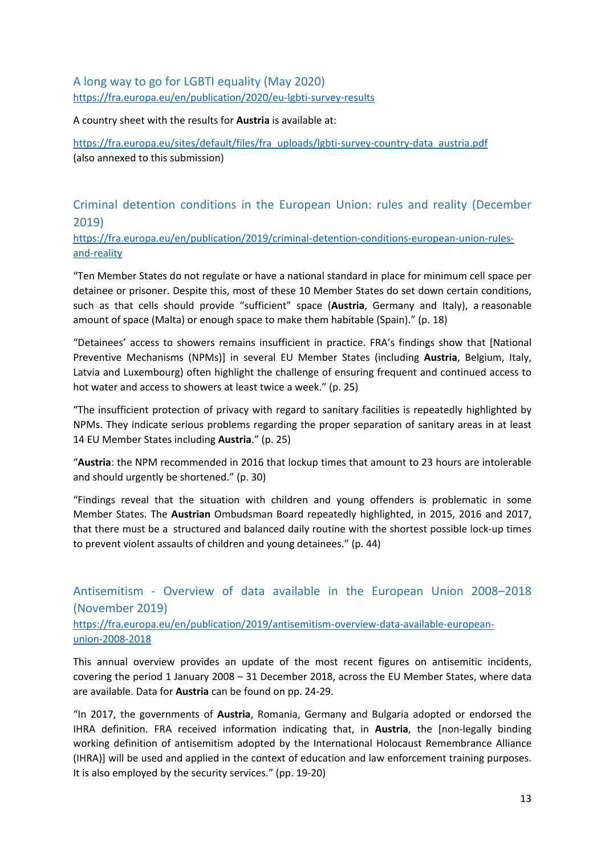### <span id="page-12-0"></span>A long way to go for LGBTI equality (May 2020) <https://fra.europa.eu/en/publication/2020/eu-lgbti-survey-results>

A country sheet with the results for **Austria** is available at:

[https://fra.europa.eu/sites/default/files/fra\\_uploads/lgbti-survey-country-data\\_austria.pdf](https://fra.europa.eu/sites/default/files/fra_uploads/lgbti-survey-country-data_austria.pdf) (also annexed to this submission)

Criminal detention conditions in the European Union: rules and reality (December 2019)

[https://fra.europa.eu/en/publication/2019/criminal-detention-conditions-european-union-rules](https://fra.europa.eu/en/publication/2019/criminal-detention-conditions-european-union-rules-and-reality)[and-reality](https://fra.europa.eu/en/publication/2019/criminal-detention-conditions-european-union-rules-and-reality)

"Ten Member States do not regulate or have <sup>a</sup> national standard in place for minimum cell space per detainee or prisoner. Despite this, most of these 10 Member States do set down certain conditions, such as that cells should provide "sufficient" space (**Austria**, Germany and Italy), <sup>a</sup> reasonable amount of space (Malta) or enough space to make them habitable (Spain)." (p. 18)

"Detainees' access to showers remains insufficient in practice. FRA'<sup>s</sup> findings show that [National Preventive Mechanisms (NPMs)] in several EU Member States (including **Austria**, Belgium, Italy, Latvia and Luxembourg) often highlight the challenge of ensuring frequent and continued access to hot water and access to showers at least twice <sup>a</sup> week." (p. 25)

"The insufficient protection of privacy with regard to sanitary facilities is repeatedly highlighted by NPMs. They indicate serious problems regarding the proper separation of sanitary areas in at least 14 EU Member States including **Austria**." (p. 25)

"**Austria**: the NPM recommended in 2016 that lockup times that amount to 23 hours are intolerable and should urgently be shortened." (p. 30)

"Findings reveal that the situation with children and young offenders is problematic in some Member States. The **Austrian** Ombudsman Board repeatedly highlighted, in 2015, 2016 and 2017, that there must be <sup>a</sup> structured and balanced daily routine with the shortest possible lock-up times to prevent violent assaults of children and young detainees." (p. 44)

# Antisemitism - Overview of data available in the European Union 2008–2018 (November 2019)

[https://fra.europa.eu/en/publication/2019/antisemitism-overview-data-available-european](https://fra.europa.eu/en/publication/2019/antisemitism-overview-data-available-european-union-2008-2018)[union-2008-2018](https://fra.europa.eu/en/publication/2019/antisemitism-overview-data-available-european-union-2008-2018)

This annual overview provides an update of the most recent figures on antisemitic incidents, covering the period 1 January 2008 – 31 December 2018, across the EU Member States, where data are available. Data for **Austria** can be found on pp. 24-29.

"In 2017, the governments of **Austria**, Romania, Germany and Bulgaria adopted or endorsed the IHRA definition. FRA received information indicating that, in **Austria**, the [non-legally binding working definition of antisemitism adopted by the International Holocaust Remembrance Alliance (IHRA)] will be used and applied in the context of education and law enforcement training purposes. It is also employed by the security services." (pp. 19-20)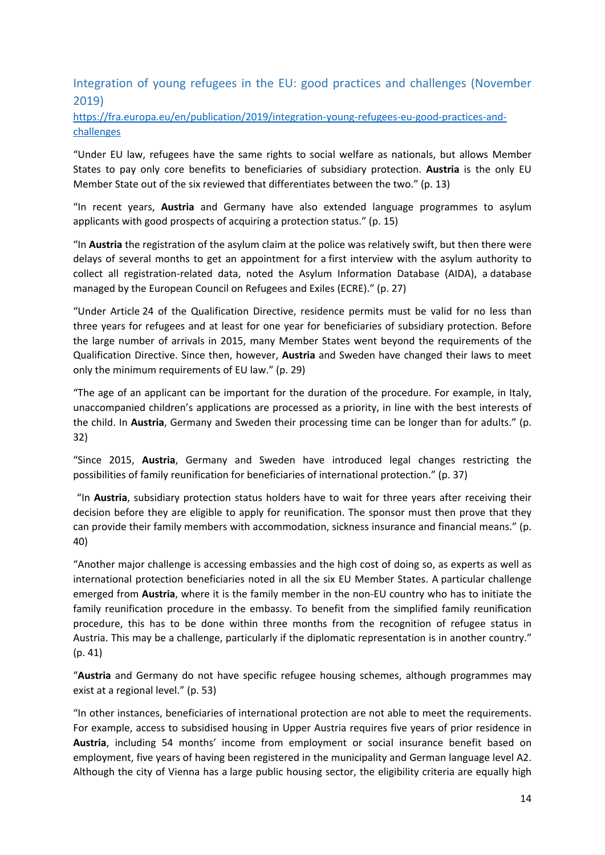### <span id="page-13-0"></span>Integration of young refugees in the EU: good practices and challenges (November 2019)

[https://fra.europa.eu/en/publication/2019/integration-young-refugees-eu-good-practices-and](https://fra.europa.eu/en/publication/2019/integration-young-refugees-eu-good-practices-and-challenges)[challenges](https://fra.europa.eu/en/publication/2019/integration-young-refugees-eu-good-practices-and-challenges)

"Under EU law, refugees have the same rights to social welfare as nationals, but allows Member States to pay only core benefits to beneficiaries of subsidiary protection. **Austria** is the only EU Member State out of the six reviewed that differentiates between the two." (p. 13)

"In recent years, **Austria** and Germany have also extended language programmes to asylum applicants with good prospects of acquiring <sup>a</sup> protection status." (p. 15)

"In **Austria** the registration of the asylum claim at the police was relatively swift, but then there were delays of several months to get an appointment for <sup>a</sup> first interview with the asylum authority to collect all registration-related data, noted the Asylum Information Database (AIDA), <sup>a</sup> database managed by the European Council on Refugees and Exiles (ECRE)." (p. 27)

"Under Article 24 of the Qualification Directive, residence permits must be valid for no less than three years for refugees and at least for one year for beneficiaries of subsidiary protection. Before the large number of arrivals in 2015, many Member States went beyond the requirements of the Qualification Directive. Since then, however, **Austria** and Sweden have changed their laws to meet only the minimum requirements of EU law." (p. 29)

"The age of an applicant can be important for the duration of the procedure. For example, in Italy, unaccompanied children'<sup>s</sup> applications are processed as <sup>a</sup> priority, in line with the best interests of the child. In **Austria**, Germany and Sweden their processing time can be longer than for adults." (p. 32)

"Since 2015, **Austria**, Germany and Sweden have introduced legal changes restricting the possibilities of family reunification for beneficiaries of international protection." (p. 37)

"In **Austria**, subsidiary protection status holders have to wait for three years after receiving their decision before they are eligible to apply for reunification. The sponsor must then prove that they can provide their family members with accommodation, sickness insurance and financial means." (p. 40)

"Another major challenge is accessing embassies and the high cost of doing so, as experts as well as international protection beneficiaries noted in all the six EU Member States. A particular challenge emerged from **Austria**, where it is the family member in the non-EU country who has to initiate the family reunification procedure in the embassy. To benefit from the simplified family reunification procedure, this has to be done within three months from the recognition of refugee status in Austria. This may be <sup>a</sup> challenge, particularly if the diplomatic representation is in another country." (p. 41)

"**Austria** and Germany do not have specific refugee housing schemes, although programmes may exist at <sup>a</sup> regional level." (p. 53)

"In other instances, beneficiaries of international protection are not able to meet the requirements. For example, access to subsidised housing in Upper Austria requires five years of prior residence in **Austria**, including 54 months' income from employment or social insurance benefit based on employment, five years of having been registered in the municipality and German language level A2. Although the city of Vienna has <sup>a</sup> large public housing sector, the eligibility criteria are equally high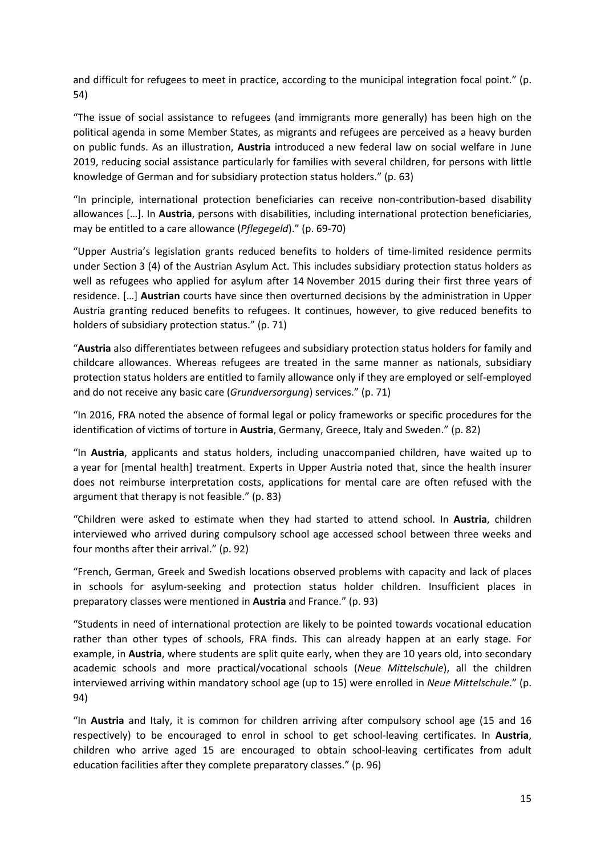and difficult for refugees to meet in practice, according to the municipal integration focal point." (p. 54)

"The issue of social assistance to refugees (and immigrants more generally) has been high on the political agenda in some Member States, as migrants and refugees are perceived as <sup>a</sup> heavy burden on public funds. As an illustration, **Austria** introduced <sup>a</sup> new federal law on social welfare in June 2019, reducing social assistance particularly for families with several children, for persons with little knowledge of German and for subsidiary protection status holders." (p. 63)

"In principle, international protection beneficiaries can receive non-contribution-based disability allowances […]. In **Austria**, persons with disabilities, including international protection beneficiaries, may be entitled to <sup>a</sup> care allowance (*Pflegegeld*)." (p. 69-70)

"Upper Austria'<sup>s</sup> legislation grants reduced benefits to holders of time-limited residence permits under Section 3 (4) of the Austrian Asylum Act. This includes subsidiary protection status holders as well as refugees who applied for asylum after 14 November 2015 during their first three years of residence. […] **Austrian** courts have since then overturned decisions by the administration in Upper Austria granting reduced benefits to refugees. It continues, however, to give reduced benefits to holders of subsidiary protection status." (p. 71)

"**Austria** also differentiates between refugees and subsidiary protection status holders for family and childcare allowances. Whereas refugees are treated in the same manner as nationals, subsidiary protection status holders are entitled to family allowance only if they are employed or self-employed and do not receive any basic care (*Grundversorgung*) services." (p. 71)

"In 2016, FRA noted the absence of formal legal or policy frameworks or specific procedures for the identification of victims of torture in **Austria**, Germany, Greece, Italy and Sweden." (p. 82)

"In **Austria**, applicants and status holders, including unaccompanied children, have waited up to <sup>a</sup> year for [mental health] treatment. Experts in Upper Austria noted that, since the health insurer does not reimburse interpretation costs, applications for mental care are often refused with the argument that therapy is not feasible." (p. 83)

"Children were asked to estimate when they had started to attend school. In **Austria**, children interviewed who arrived during compulsory school age accessed school between three weeks and four months after their arrival." (p. 92)

"French, German, Greek and Swedish locations observed problems with capacity and lack of places in schools for asylum-seeking and protection status holder children. Insufficient places in preparatory classes were mentioned in **Austria** and France." (p. 93)

"Students in need of international protection are likely to be pointed towards vocational education rather than other types of schools, FRA finds. This can already happen at an early stage. For example, in **Austria**, where students are split quite early, when they are 10 years old, into secondary academic schools and more practical/vocational schools (*Neue Mittelschule*), all the children interviewed arriving within mandatory school age (up to 15) were enrolled in *Neue Mittelschule*." (p. 94)

"In **Austria** and Italy, it is common for children arriving after compulsory school age (15 and 16 respectively) to be encouraged to enrol in school to get school-leaving certificates. In **Austria**, children who arrive aged 15 are encouraged to obtain school-leaving certificates from adult education facilities after they complete preparatory classes." (p. 96)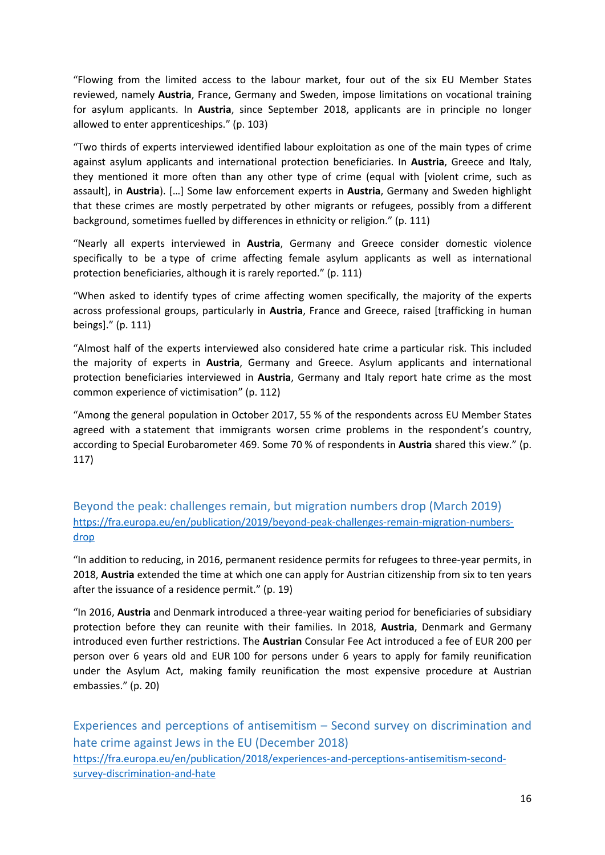<span id="page-15-0"></span>"Flowing from the limited access to the labour market, four out of the six EU Member States reviewed, namely **Austria**, France, Germany and Sweden, impose limitations on vocational training for asylum applicants. In **Austria**, since September 2018, applicants are in principle no longer allowed to enter apprenticeships." (p. 103)

"Two thirds of experts interviewed identified labour exploitation as one of the main types of crime against asylum applicants and international protection beneficiaries. In **Austria**, Greece and Italy, they mentioned it more often than any other type of crime (equal with [violent crime, such as assault], in **Austria**). […] Some law enforcement experts in **Austria**, Germany and Sweden highlight that these crimes are mostly perpetrated by other migrants or refugees, possibly from <sup>a</sup> different background, sometimes fuelled by differences in ethnicity or religion." (p. 111)

"Nearly all experts interviewed in **Austria**, Germany and Greece consider domestic violence specifically to be <sup>a</sup> type of crime affecting female asylum applicants as well as international protection beneficiaries, although it is rarely reported." (p. 111)

"When asked to identify types of crime affecting women specifically, the majority of the experts across professional groups, particularly in **Austria**, France and Greece, raised [trafficking in human beings]." (p. 111)

"Almost half of the experts interviewed also considered hate crime <sup>a</sup> particular risk. This included the majority of experts in **Austria**, Germany and Greece. Asylum applicants and international protection beneficiaries interviewed in **Austria**, Germany and Italy report hate crime as the most common experience of victimisation" (p. 112)

"Among the general population in October 2017, 55 % of the respondents across EU Member States agreed with <sup>a</sup> statement that immigrants worsen crime problems in the respondent'<sup>s</sup> country, according to Special Eurobarometer 469. Some 70 % of respondents in **Austria** shared this view." (p. 117)

Beyond the peak: challenges remain, but migration numbers drop (March 2019) [https://fra.europa.eu/en/publication/2019/beyond-peak-challenges-remain-migration-numbers](https://fra.europa.eu/en/publication/2019/beyond-peak-challenges-remain-migration-numbers-drop)[drop](https://fra.europa.eu/en/publication/2019/beyond-peak-challenges-remain-migration-numbers-drop)

"In addition to reducing, in 2016, permanent residence permits for refugees to three-year permits, in 2018, **Austria** extended the time at which one can apply for Austrian citizenship from six to ten years after the issuance of <sup>a</sup> residence permit." (p. 19)

"In 2016, **Austria** and Denmark introduced <sup>a</sup> three-year waiting period for beneficiaries of subsidiary protection before they can reunite with their families. In 2018, **Austria**, Denmark and Germany introduced even further restrictions. The **Austrian** Consular Fee Act introduced <sup>a</sup> fee of EUR 200 per person over 6 years old and EUR 100 for persons under 6 years to apply for family reunification under the Asylum Act, making family reunification the most expensive procedure at Austrian embassies." (p. 20)

Experiences and perceptions of antisemitism – Second survey on discrimination and hate crime against Jews in the EU (December 2018) [https://fra.europa.eu/en/publication/2018/experiences-and-perceptions-antisemitism-second](https://fra.europa.eu/en/publication/2018/experiences-and-perceptions-antisemitism-second-survey-discrimination-and-hate)[survey-discrimination-and-hate](https://fra.europa.eu/en/publication/2018/experiences-and-perceptions-antisemitism-second-survey-discrimination-and-hate)